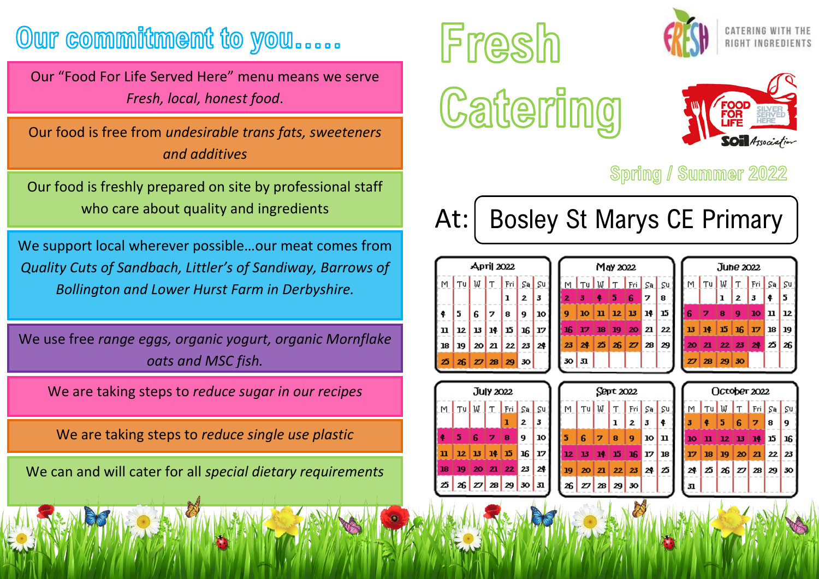## Our commitment to you.....

Our "Food For Life Served Here" menu means we serve *Fresh, local, honest food*.

Our food is free from *undesirable trans fats, sweeteners and additives*

Our food is freshly prepared on site by professional staff who care about quality and ingredients

We support local wherever possible…our meat comes from *Quality Cuts of Sandbach, Littler's of Sandiway, Barrows of Bollington and Lower Hurst Farm in Derbyshire.*

We use free *range eggs, organic yogurt, organic Mornflake oats and MSC fish.*

We are taking steps to *reduce sugar in our recipes*

We are taking steps to *reduce single use plastic*

We can and will cater for all *special dietary requirements*









## Spring / Summer 2022

At: | Bosley St Marys CE Primary

 $\mathbf{r}_u$   $\mathbf{w}$ 

30 | 31

| Артіј 2022 |                                  |   |     |             |              |    |  |
|------------|----------------------------------|---|-----|-------------|--------------|----|--|
|            | $\lfloor M \rfloor$ Tu $\rfloor$ |   |     | $W$ $T$ Fri | $S^{\tt a}$  | ςu |  |
|            |                                  |   |     | ı           | $\mathbf{z}$ | 3  |  |
| ¦ ≰.       | 5.                               | 6 | 17. | 8           | 9            | 10 |  |
| ¦ 11       | 12   13   14   15   16           |   |     |             |              | 17 |  |
| 18         | 19                               |   |     | 20 21 22 23 |              | 24 |  |
| -25        | $26$ $27$ $28$ $29$              |   |     |             | 50           |    |  |

| May 2022 |    |                                                                 |               |                           | June 2022 |    |                      |              |     |
|----------|----|-----------------------------------------------------------------|---------------|---------------------------|-----------|----|----------------------|--------------|-----|
| W        |    | $\lfloor r \rfloor$ $\lfloor r_0 \rfloor$ $\lfloor s_0 \rfloor$ |               | $\mathsf{S}^{\mathsf{u}}$ |           | Tu | W                    | Τ            | Fri |
|          | 5  | 6                                                               | 7             | 8                         |           |    | ı                    | $\mathbf{2}$ | 3   |
| п        |    | 12   13                                                         | 14            | 15                        | 6         | 7  | 8                    | 9            | 10  |
| 18       | 19 |                                                                 | $20 \vert 21$ | 22                        | 13        | 14 | 15.                  | 16           | 17  |
| 25       |    | 26 Z 28                                                         |               | 29                        | 20        | 21 | $22 \,   \, 23$      |              | 24  |
|          |    |                                                                 |               |                           | 27        |    | $28 \mid 29 \mid 30$ |              |     |
|          |    |                                                                 |               |                           |           |    |                      |              |     |

|    |        | July 2022                           |   |              |                                                       |  |  |  |  |  |  |
|----|--------|-------------------------------------|---|--------------|-------------------------------------------------------|--|--|--|--|--|--|
|    | l⊤⊍lw. | $\lfloor$ T $\lfloor$ Fri $\rfloor$ |   | Sa           | Şψ                                                    |  |  |  |  |  |  |
|    |        |                                     | ı | $\mathbf{z}$ | 3                                                     |  |  |  |  |  |  |
| 5  | 6      | 7                                   | 8 | 9            | 10                                                    |  |  |  |  |  |  |
|    |        |                                     |   |              | 17                                                    |  |  |  |  |  |  |
| 19 | 20     | 21                                  |   |              | 24                                                    |  |  |  |  |  |  |
|    |        |                                     |   |              | 31                                                    |  |  |  |  |  |  |
|    |        |                                     |   | 26 Z 28 29   | $12 \mid 13 \mid 14 \mid 15 \mid 16$<br>$22$ 23<br>30 |  |  |  |  |  |  |

| Sept 2022 |   |                      |              |    |                           |  |   |
|-----------|---|----------------------|--------------|----|---------------------------|--|---|
| Tu        |   | $W[T]$ Fri $S$ a     |              |    | $\mathsf{S}^{\mathsf{u}}$ |  |   |
|           |   | ı                    | $\mathbf{z}$ | 3  | ¢                         |  | Ì |
| 6         | 7 | 8                    | 9            | 10 | $\mathbf u$               |  | I |
| 13        |   | 14 15 16 17          |              |    | 18                        |  | Ī |
|           |   | 20 21 22 23 24       |              |    | 25                        |  |   |
|           |   | $27 \mid 29 \mid 30$ |              |    |                           |  | i |
|           |   |                      |              |    |                           |  |   |

|      | Осторет 2022                         |                       |  |  |  |     |  |  |  |
|------|--------------------------------------|-----------------------|--|--|--|-----|--|--|--|
|      | M TU W T Fri Sa Su                   |                       |  |  |  |     |  |  |  |
| 3.   |                                      | $4$ 5 6 7 8           |  |  |  | 19. |  |  |  |
|      | 10 11 12 13 14 15 16                 |                       |  |  |  |     |  |  |  |
| 17 I |                                      | $18$ 19 $20$ 21 22 23 |  |  |  |     |  |  |  |
| 24   | $ z  \times  z  \times  z_9  \times$ |                       |  |  |  |     |  |  |  |
| 31   |                                      |                       |  |  |  |     |  |  |  |

 $S = \frac{1}{2}$  $\bullet$ l 5

 $\mathbf{u}$ 12 19  $18$  $25|26$